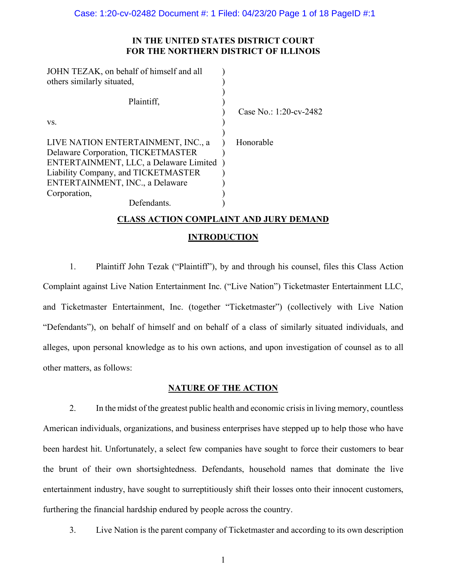# **IN THE UNITED STATES DISTRICT COURT FOR THE NORTHERN DISTRICT OF ILLINOIS**

| JOHN TEZAK, on behalf of himself and all<br>others similarly situated,                                                                                                                                                      |                        |
|-----------------------------------------------------------------------------------------------------------------------------------------------------------------------------------------------------------------------------|------------------------|
| Plaintiff,                                                                                                                                                                                                                  | Case No.: 1:20-cv-2482 |
| VS.                                                                                                                                                                                                                         |                        |
| LIVE NATION ENTERTAINMENT, INC., a<br>Delaware Corporation, TICKETMASTER<br>ENTERTAINMENT, LLC, a Delaware Limited<br>Liability Company, and TICKETMASTER<br>ENTERTAINMENT, INC., a Delaware<br>Corporation,<br>Defendants. | Honorable              |

# **CLASS ACTION COMPLAINT AND JURY DEMAND**

# **INTRODUCTION**

1. Plaintiff John Tezak ("Plaintiff"), by and through his counsel, files this Class Action Complaint against Live Nation Entertainment Inc. ("Live Nation") Ticketmaster Entertainment LLC, and Ticketmaster Entertainment, Inc. (together "Ticketmaster") (collectively with Live Nation "Defendants"), on behalf of himself and on behalf of a class of similarly situated individuals, and alleges, upon personal knowledge as to his own actions, and upon investigation of counsel as to all other matters, as follows:

## **NATURE OF THE ACTION**

2. In the midst of the greatest public health and economic crisis in living memory, countless American individuals, organizations, and business enterprises have stepped up to help those who have been hardest hit. Unfortunately, a select few companies have sought to force their customers to bear the brunt of their own shortsightedness. Defendants, household names that dominate the live entertainment industry, have sought to surreptitiously shift their losses onto their innocent customers, furthering the financial hardship endured by people across the country.

3. Live Nation is the parent company of Ticketmaster and according to its own description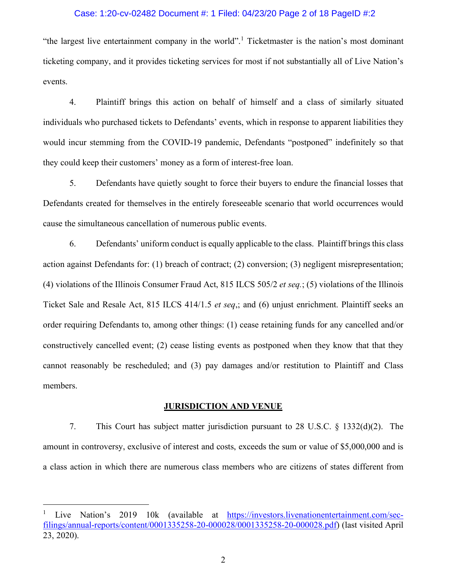### Case: 1:20-cv-02482 Document #: 1 Filed: 04/23/20 Page 2 of 18 PageID #:2

"the largest live entertainment company in the world".<sup>[1](#page-1-0)</sup> Ticketmaster is the nation's most dominant ticketing company, and it provides ticketing services for most if not substantially all of Live Nation's events.

4. Plaintiff brings this action on behalf of himself and a class of similarly situated individuals who purchased tickets to Defendants' events, which in response to apparent liabilities they would incur stemming from the COVID-19 pandemic, Defendants "postponed" indefinitely so that they could keep their customers' money as a form of interest-free loan.

5. Defendants have quietly sought to force their buyers to endure the financial losses that Defendants created for themselves in the entirely foreseeable scenario that world occurrences would cause the simultaneous cancellation of numerous public events.

6. Defendants' uniform conduct is equally applicable to the class. Plaintiff bringsthis class action against Defendants for: (1) breach of contract; (2) conversion; (3) negligent misrepresentation; (4) violations of the Illinois Consumer Fraud Act, 815 ILCS 505/2 *et seq.*; (5) violations of the Illinois Ticket Sale and Resale Act, 815 ILCS 414/1.5 *et seq*,; and (6) unjust enrichment. Plaintiff seeks an order requiring Defendants to, among other things: (1) cease retaining funds for any cancelled and/or constructively cancelled event; (2) cease listing events as postponed when they know that that they cannot reasonably be rescheduled; and (3) pay damages and/or restitution to Plaintiff and Class members.

#### **JURISDICTION AND VENUE**

7. This Court has subject matter jurisdiction pursuant to 28 U.S.C. § 1332(d)(2). The amount in controversy, exclusive of interest and costs, exceeds the sum or value of \$5,000,000 and is a class action in which there are numerous class members who are citizens of states different from

<span id="page-1-0"></span>Live Nation's 2019 10k (available at [https://investors.livenationentertainment.com/sec](https://investors.livenationentertainment.com/sec-filings/annual-reports/content/0001335258-20-000028/0001335258-20-000028.pdf)[filings/annual-reports/content/0001335258-20-000028/0001335258-20-000028.pdf\)](https://investors.livenationentertainment.com/sec-filings/annual-reports/content/0001335258-20-000028/0001335258-20-000028.pdf) (last visited April 23, 2020).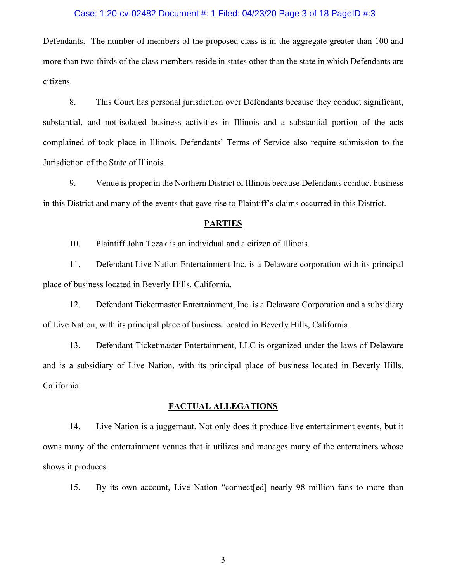### Case: 1:20-cv-02482 Document #: 1 Filed: 04/23/20 Page 3 of 18 PageID #:3

Defendants. The number of members of the proposed class is in the aggregate greater than 100 and more than two-thirds of the class members reside in states other than the state in which Defendants are citizens.

8. This Court has personal jurisdiction over Defendants because they conduct significant, substantial, and not-isolated business activities in Illinois and a substantial portion of the acts complained of took place in Illinois. Defendants' Terms of Service also require submission to the Jurisdiction of the State of Illinois.

9. Venue is proper in the Northern District of Illinois because Defendants conduct business in this District and many of the events that gave rise to Plaintiff's claims occurred in this District.

## **PARTIES**

10. Plaintiff John Tezak is an individual and a citizen of Illinois.

11. Defendant Live Nation Entertainment Inc. is a Delaware corporation with its principal place of business located in Beverly Hills, California.

12. Defendant Ticketmaster Entertainment, Inc. is a Delaware Corporation and a subsidiary of Live Nation, with its principal place of business located in Beverly Hills, California

13. Defendant Ticketmaster Entertainment, LLC is organized under the laws of Delaware and is a subsidiary of Live Nation, with its principal place of business located in Beverly Hills, California

### **FACTUAL ALLEGATIONS**

14. Live Nation is a juggernaut. Not only does it produce live entertainment events, but it owns many of the entertainment venues that it utilizes and manages many of the entertainers whose shows it produces.

15. By its own account, Live Nation "connect[ed] nearly 98 million fans to more than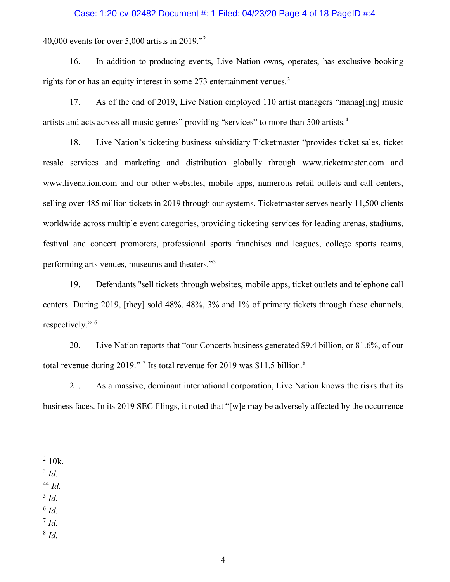#### Case: 1:20-cv-02482 Document #: 1 Filed: 04/23/20 Page 4 of 18 PageID #:4

40,000 events for over 5,000 artists in 2019."[2](#page-3-0)

16. In addition to producing events, Live Nation owns, operates, has exclusive booking rights for or has an equity interest in some 27[3](#page-3-1) entertainment venues.<sup>3</sup>

17. As of the end of 2019, Live Nation employed 110 artist managers "manag[ing] music artists and acts across all music genres" providing "services" to more than 500 artists.<sup>[4](#page-3-2)</sup>

18. Live Nation's ticketing business subsidiary Ticketmaster "provides ticket sales, ticket resale services and marketing and distribution globally through www.ticketmaster.com and www.livenation.com and our other websites, mobile apps, numerous retail outlets and call centers, selling over 485 million tickets in 2019 through our systems. Ticketmaster serves nearly 11,500 clients worldwide across multiple event categories, providing ticketing services for leading arenas, stadiums, festival and concert promoters, professional sports franchises and leagues, college sports teams, performing arts venues, museums and theaters."[5](#page-3-3)

19. Defendants "sell tickets through websites, mobile apps, ticket outlets and telephone call centers. During 2019, [they] sold 48%, 48%, 3% and 1% of primary tickets through these channels, respectively." [6](#page-3-4)

20. Live Nation reports that "our Concerts business generated \$9.4 billion, or 81.6%, of our total revenue during 2019."<sup>[7](#page-3-5)</sup> Its total revenue for 2019 was \$11.5 billion.<sup>[8](#page-3-6)</sup>

21. As a massive, dominant international corporation, Live Nation knows the risks that its business faces. In its 2019 SEC filings, it noted that "[w]e may be adversely affected by the occurrence

<span id="page-3-1"></span><sup>3</sup> *Id.*

- <span id="page-3-2"></span><sup>44</sup> *Id.*
- <span id="page-3-3"></span><sup>5</sup> *Id.*
- <span id="page-3-4"></span> $6$   $Id.$
- <span id="page-3-5"></span> $^7$  *Id.*
- <span id="page-3-6"></span><sup>8</sup> *Id.*

<span id="page-3-0"></span> $2 \frac{10k}{ }$ .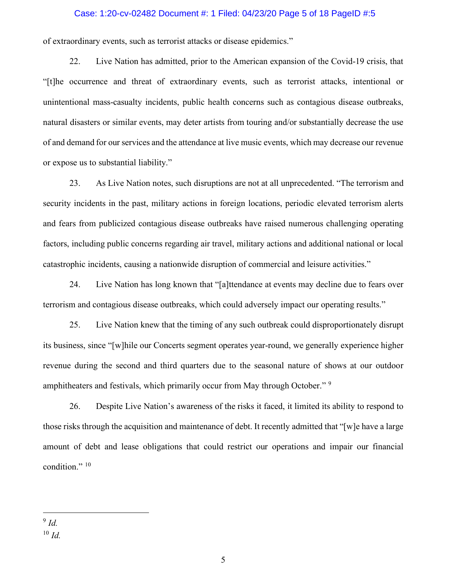#### Case: 1:20-cv-02482 Document #: 1 Filed: 04/23/20 Page 5 of 18 PageID #:5

of extraordinary events, such as terrorist attacks or disease epidemics."

22. Live Nation has admitted, prior to the American expansion of the Covid-19 crisis, that "[t]he occurrence and threat of extraordinary events, such as terrorist attacks, intentional or unintentional mass-casualty incidents, public health concerns such as contagious disease outbreaks, natural disasters or similar events, may deter artists from touring and/or substantially decrease the use of and demand for our services and the attendance at live music events, which may decrease our revenue or expose us to substantial liability."

23. As Live Nation notes, such disruptions are not at all unprecedented. "The terrorism and security incidents in the past, military actions in foreign locations, periodic elevated terrorism alerts and fears from publicized contagious disease outbreaks have raised numerous challenging operating factors, including public concerns regarding air travel, military actions and additional national or local catastrophic incidents, causing a nationwide disruption of commercial and leisure activities."

24. Live Nation has long known that "[a]ttendance at events may decline due to fears over terrorism and contagious disease outbreaks, which could adversely impact our operating results."

25. Live Nation knew that the timing of any such outbreak could disproportionately disrupt its business, since "[w]hile our Concerts segment operates year-round, we generally experience higher revenue during the second and third quarters due to the seasonal nature of shows at our outdoor amphitheaters and festivals, which primarily occur from May through October."<sup>[9](#page-4-0)</sup>

26. Despite Live Nation's awareness of the risks it faced, it limited its ability to respond to those risks through the acquisition and maintenance of debt. It recently admitted that "[w]e have a large amount of debt and lease obligations that could restrict our operations and impair our financial condition."<sup>[10](#page-4-1)</sup>

<span id="page-4-1"></span><span id="page-4-0"></span><sup>9</sup> *Id.*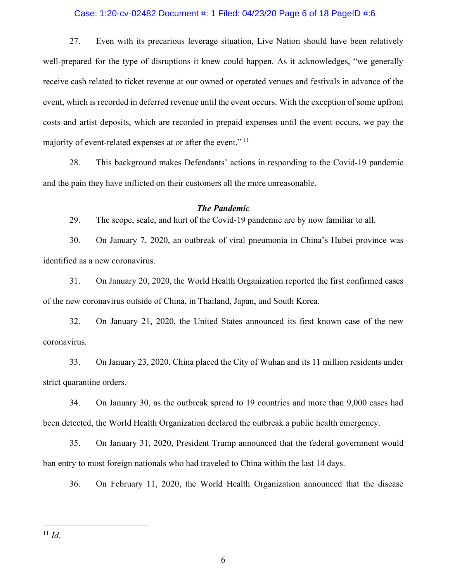### Case: 1:20-cv-02482 Document #: 1 Filed: 04/23/20 Page 6 of 18 PageID #:6

27. Even with its precarious leverage situation, Live Nation should have been relatively well-prepared for the type of disruptions it knew could happen. As it acknowledges, "we generally receive cash related to ticket revenue at our owned or operated venues and festivals in advance of the event, which is recorded in deferred revenue until the event occurs. With the exception of some upfront costs and artist deposits, which are recorded in prepaid expenses until the event occurs, we pay the majority of event-related expenses at or after the event."<sup>[11](#page-5-0)</sup>

28. This background makes Defendants' actions in responding to the Covid-19 pandemic and the pain they have inflicted on their customers all the more unreasonable.

## *The Pandemic*

29. The scope, scale, and hurt of the Covid-19 pandemic are by now familiar to all.

30. On January 7, 2020, an outbreak of viral pneumonia in China's Hubei province was identified as a new coronavirus.

31. On January 20, 2020, the World Health Organization reported the first confirmed cases of the new coronavirus outside of China, in Thailand, Japan, and South Korea.

32. On January 21, 2020, the United States announced its first known case of the new coronavirus.

33. On January 23, 2020, China placed the City of Wuhan and its 11 million residents under strict quarantine orders.

34. On January 30, as the outbreak spread to 19 countries and more than 9,000 cases had been detected, the World Health Organization declared the outbreak a public health emergency.

35. On January 31, 2020, President Trump announced that the federal government would ban entry to most foreign nationals who had traveled to China within the last 14 days.

36. On February 11, 2020, the World Health Organization announced that the disease

<span id="page-5-0"></span> $11$  *Id.*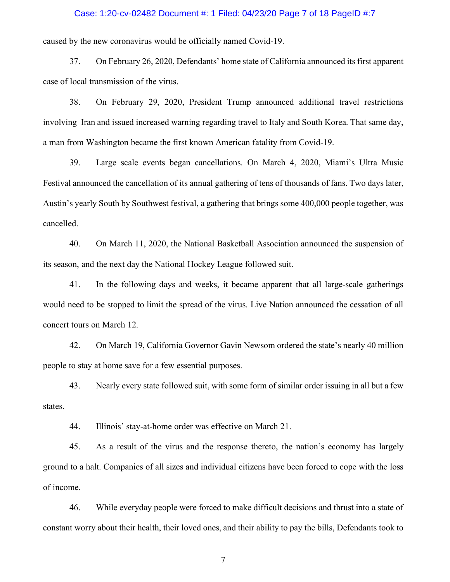#### Case: 1:20-cv-02482 Document #: 1 Filed: 04/23/20 Page 7 of 18 PageID #:7

caused by the new coronavirus would be officially named Covid-19.

37. On February 26, 2020, Defendants' home state of California announced its first apparent case of local transmission of the virus.

38. On February 29, 2020, President Trump announced additional travel restrictions involving Iran and issued increased warning regarding travel to Italy and South Korea. That same day, a man from Washington became the first known American fatality from Covid-19.

39. Large scale events began cancellations. On March 4, 2020, Miami's Ultra Music Festival announced the cancellation of its annual gathering of tens of thousands of fans. Two days later, Austin's yearly South by Southwest festival, a gathering that brings some 400,000 people together, was cancelled.

40. On March 11, 2020, the National Basketball Association announced the suspension of its season, and the next day the National Hockey League followed suit.

41. In the following days and weeks, it became apparent that all large-scale gatherings would need to be stopped to limit the spread of the virus. Live Nation announced the cessation of all concert tours on March 12.

42. On March 19, California Governor Gavin Newsom ordered the state's nearly 40 million people to stay at home save for a few essential purposes.

43. Nearly every state followed suit, with some form of similar order issuing in all but a few states.

44. Illinois' stay-at-home order was effective on March 21.

45. As a result of the virus and the response thereto, the nation's economy has largely ground to a halt. Companies of all sizes and individual citizens have been forced to cope with the loss of income.

46. While everyday people were forced to make difficult decisions and thrust into a state of constant worry about their health, their loved ones, and their ability to pay the bills, Defendants took to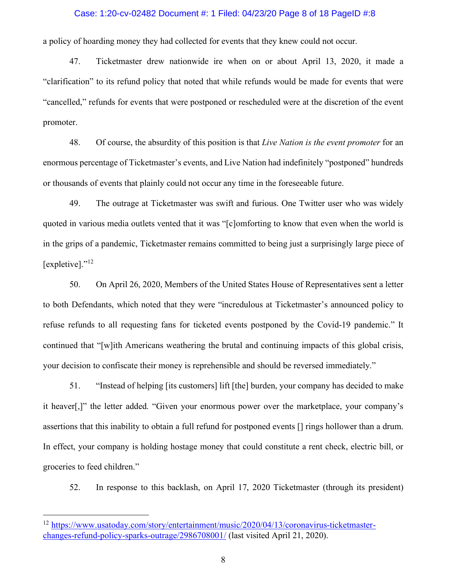#### Case: 1:20-cv-02482 Document #: 1 Filed: 04/23/20 Page 8 of 18 PageID #:8

a policy of hoarding money they had collected for events that they knew could not occur.

47. Ticketmaster drew nationwide ire when on or about April 13, 2020, it made a "clarification" to its refund policy that noted that while refunds would be made for events that were "cancelled," refunds for events that were postponed or rescheduled were at the discretion of the event promoter.

48. Of course, the absurdity of this position is that *Live Nation is the event promoter* for an enormous percentage of Ticketmaster's events, and Live Nation had indefinitely "postponed" hundreds or thousands of events that plainly could not occur any time in the foreseeable future.

49. The outrage at Ticketmaster was swift and furious. One Twitter user who was widely quoted in various media outlets vented that it was "[c]omforting to know that even when the world is in the grips of a pandemic, Ticketmaster remains committed to being just a surprisingly large piece of [expletive]."<sup>[12](#page-7-0)</sup>

50. On April 26, 2020, Members of the United States House of Representatives sent a letter to both Defendants, which noted that they were "incredulous at Ticketmaster's announced policy to refuse refunds to all requesting fans for ticketed events postponed by the Covid-19 pandemic." It continued that "[w]ith Americans weathering the brutal and continuing impacts of this global crisis, your decision to confiscate their money is reprehensible and should be reversed immediately."

51. "Instead of helping [its customers] lift [the] burden, your company has decided to make it heaver[,]" the letter added. "Given your enormous power over the marketplace, your company's assertions that this inability to obtain a full refund for postponed events [] rings hollower than a drum. In effect, your company is holding hostage money that could constitute a rent check, electric bill, or groceries to feed children."

52. In response to this backlash, on April 17, 2020 Ticketmaster (through its president)

<span id="page-7-0"></span><sup>&</sup>lt;sup>12</sup> [https://www.usatoday.com/story/entertainment/music/2020/04/13/coronavirus-ticketmaster](https://www.usatoday.com/story/entertainment/music/2020/04/13/coronavirus-ticketmaster-changes-refund-policy-sparks-outrage/2986708001/)[changes-refund-policy-sparks-outrage/2986708001/](https://www.usatoday.com/story/entertainment/music/2020/04/13/coronavirus-ticketmaster-changes-refund-policy-sparks-outrage/2986708001/) (last visited April 21, 2020).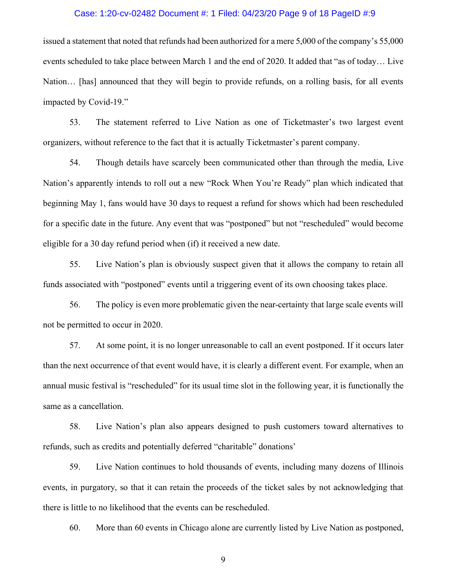#### Case: 1:20-cv-02482 Document #: 1 Filed: 04/23/20 Page 9 of 18 PageID #:9

issued a statement that noted that refunds had been authorized for a mere 5,000 of the company's 55,000 events scheduled to take place between March 1 and the end of 2020. It added that "as of today… Live Nation… [has] announced that they will begin to provide refunds, on a rolling basis, for all events impacted by Covid-19."

53. The statement referred to Live Nation as one of Ticketmaster's two largest event organizers, without reference to the fact that it is actually Ticketmaster's parent company.

54. Though details have scarcely been communicated other than through the media, Live Nation's apparently intends to roll out a new "Rock When You're Ready" plan which indicated that beginning May 1, fans would have 30 days to request a refund for shows which had been rescheduled for a specific date in the future. Any event that was "postponed" but not "rescheduled" would become eligible for a 30 day refund period when (if) it received a new date.

55. Live Nation's plan is obviously suspect given that it allows the company to retain all funds associated with "postponed" events until a triggering event of its own choosing takes place.

56. The policy is even more problematic given the near-certainty that large scale events will not be permitted to occur in 2020.

57. At some point, it is no longer unreasonable to call an event postponed. If it occurs later than the next occurrence of that event would have, it is clearly a different event. For example, when an annual music festival is "rescheduled" for its usual time slot in the following year, it is functionally the same as a cancellation.

58. Live Nation's plan also appears designed to push customers toward alternatives to refunds, such as credits and potentially deferred "charitable" donations'

59. Live Nation continues to hold thousands of events, including many dozens of Illinois events, in purgatory, so that it can retain the proceeds of the ticket sales by not acknowledging that there is little to no likelihood that the events can be rescheduled.

60. More than 60 events in Chicago alone are currently listed by Live Nation as postponed,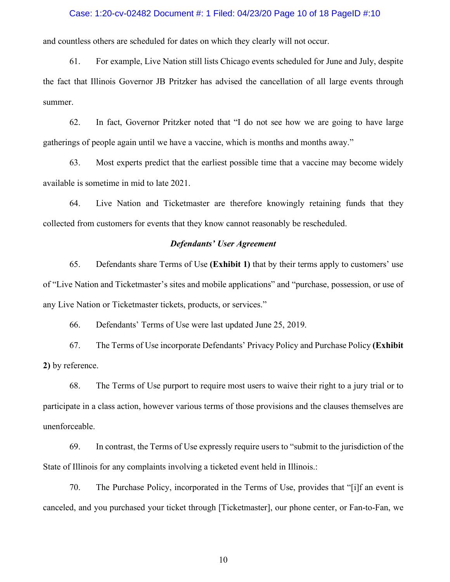#### Case: 1:20-cv-02482 Document #: 1 Filed: 04/23/20 Page 10 of 18 PageID #:10

and countless others are scheduled for dates on which they clearly will not occur.

61. For example, Live Nation still lists Chicago events scheduled for June and July, despite the fact that Illinois Governor JB Pritzker has advised the cancellation of all large events through summer.

62. In fact, Governor Pritzker noted that "I do not see how we are going to have large gatherings of people again until we have a vaccine, which is months and months away."

63. Most experts predict that the earliest possible time that a vaccine may become widely available is sometime in mid to late 2021.

64. Live Nation and Ticketmaster are therefore knowingly retaining funds that they collected from customers for events that they know cannot reasonably be rescheduled.

## *Defendants' User Agreement*

65. Defendants share Terms of Use **(Exhibit 1)** that by their terms apply to customers' use of "Live Nation and Ticketmaster's sites and mobile applications" and "purchase, possession, or use of any Live Nation or Ticketmaster tickets, products, or services."

66. Defendants' Terms of Use were last updated June 25, 2019.

67. The Terms of Use incorporate Defendants' Privacy Policy and Purchase Policy **(Exhibit 2)** by reference.

68. The Terms of Use purport to require most users to waive their right to a jury trial or to participate in a class action, however various terms of those provisions and the clauses themselves are unenforceable.

69. In contrast, the Terms of Use expressly require users to "submit to the jurisdiction of the State of Illinois for any complaints involving a ticketed event held in Illinois.:

70. The Purchase Policy, incorporated in the Terms of Use, provides that "[i]f an event is canceled, and you purchased your ticket through [Ticketmaster], our phone center, or Fan-to-Fan, we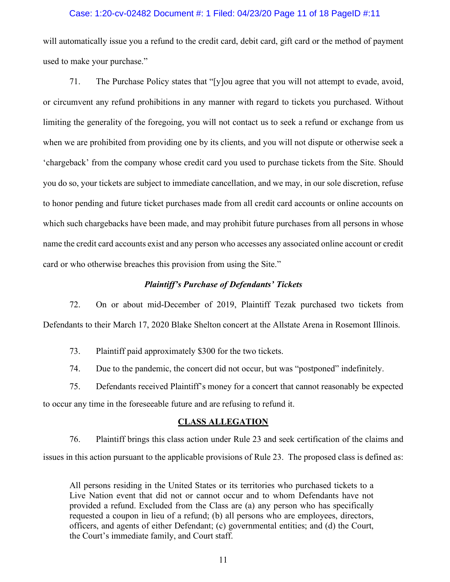### Case: 1:20-cv-02482 Document #: 1 Filed: 04/23/20 Page 11 of 18 PageID #:11

will automatically issue you a refund to the credit card, debit card, gift card or the method of payment used to make your purchase."

71. The Purchase Policy states that "[y]ou agree that you will not attempt to evade, avoid, or circumvent any refund prohibitions in any manner with regard to tickets you purchased. Without limiting the generality of the foregoing, you will not contact us to seek a refund or exchange from us when we are prohibited from providing one by its clients, and you will not dispute or otherwise seek a 'chargeback' from the company whose credit card you used to purchase tickets from the Site. Should you do so, your tickets are subject to immediate cancellation, and we may, in our sole discretion, refuse to honor pending and future ticket purchases made from all credit card accounts or online accounts on which such chargebacks have been made, and may prohibit future purchases from all persons in whose name the credit card accounts exist and any person who accesses any associated online account or credit card or who otherwise breaches this provision from using the Site."

# *Plaintiff's Purchase of Defendants' Tickets*

72. On or about mid-December of 2019, Plaintiff Tezak purchased two tickets from Defendants to their March 17, 2020 Blake Shelton concert at the Allstate Arena in Rosemont Illinois.

73. Plaintiff paid approximately \$300 for the two tickets.

74. Due to the pandemic, the concert did not occur, but was "postponed" indefinitely.

75. Defendants received Plaintiff's money for a concert that cannot reasonably be expected to occur any time in the foreseeable future and are refusing to refund it.

#### **CLASS ALLEGATION**

76. Plaintiff brings this class action under Rule 23 and seek certification of the claims and issues in this action pursuant to the applicable provisions of Rule 23. The proposed class is defined as:

All persons residing in the United States or its territories who purchased tickets to a Live Nation event that did not or cannot occur and to whom Defendants have not provided a refund. Excluded from the Class are (a) any person who has specifically requested a coupon in lieu of a refund; (b) all persons who are employees, directors, officers, and agents of either Defendant; (c) governmental entities; and (d) the Court, the Court's immediate family, and Court staff.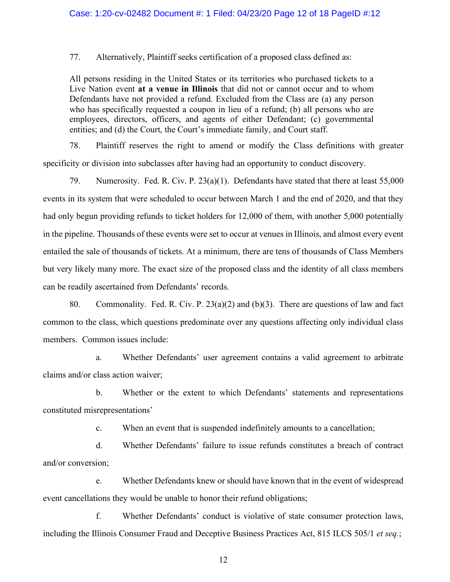77. Alternatively, Plaintiff seeks certification of a proposed class defined as:

All persons residing in the United States or its territories who purchased tickets to a Live Nation event **at a venue in Illinois** that did not or cannot occur and to whom Defendants have not provided a refund. Excluded from the Class are (a) any person who has specifically requested a coupon in lieu of a refund; (b) all persons who are employees, directors, officers, and agents of either Defendant; (c) governmental entities; and (d) the Court, the Court's immediate family, and Court staff.

78. Plaintiff reserves the right to amend or modify the Class definitions with greater specificity or division into subclasses after having had an opportunity to conduct discovery.

79. Numerosity. Fed. R. Civ. P. 23(a)(1). Defendants have stated that there at least 55,000 events in its system that were scheduled to occur between March 1 and the end of 2020, and that they had only begun providing refunds to ticket holders for 12,000 of them, with another 5,000 potentially in the pipeline. Thousands of these events were set to occur at venues in Illinois, and almost every event entailed the sale of thousands of tickets. At a minimum, there are tens of thousands of Class Members but very likely many more. The exact size of the proposed class and the identity of all class members can be readily ascertained from Defendants' records.

80. Commonality. Fed. R. Civ. P. 23(a)(2) and (b)(3). There are questions of law and fact common to the class, which questions predominate over any questions affecting only individual class members. Common issues include:

a. Whether Defendants' user agreement contains a valid agreement to arbitrate claims and/or class action waiver;

b. Whether or the extent to which Defendants' statements and representations constituted misrepresentations'

c. When an event that is suspended indefinitely amounts to a cancellation;

d. Whether Defendants' failure to issue refunds constitutes a breach of contract and/or conversion;

e. Whether Defendants knew or should have known that in the event of widespread event cancellations they would be unable to honor their refund obligations;

f. Whether Defendants' conduct is violative of state consumer protection laws, including the Illinois Consumer Fraud and Deceptive Business Practices Act, 815 ILCS 505/1 *et seq.*;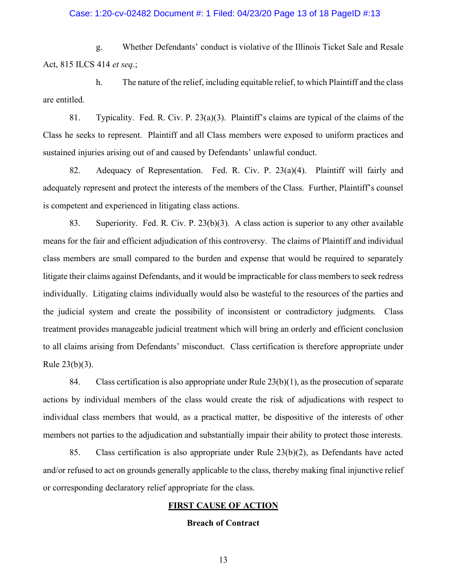## Case: 1:20-cv-02482 Document #: 1 Filed: 04/23/20 Page 13 of 18 PageID #:13

g. Whether Defendants' conduct is violative of the Illinois Ticket Sale and Resale Act, 815 ILCS 414 *et seq*.;

h. The nature of the relief, including equitable relief, to which Plaintiff and the class are entitled.

81. Typicality. Fed. R. Civ. P. 23(a)(3). Plaintiff's claims are typical of the claims of the Class he seeks to represent. Plaintiff and all Class members were exposed to uniform practices and sustained injuries arising out of and caused by Defendants' unlawful conduct.

82. Adequacy of Representation. Fed. R. Civ. P. 23(a)(4). Plaintiff will fairly and adequately represent and protect the interests of the members of the Class. Further, Plaintiff's counsel is competent and experienced in litigating class actions.

83. Superiority. Fed. R. Civ. P. 23(b)(3). A class action is superior to any other available means for the fair and efficient adjudication of this controversy. The claims of Plaintiff and individual class members are small compared to the burden and expense that would be required to separately litigate their claims against Defendants, and it would be impracticable for class members to seek redress individually. Litigating claims individually would also be wasteful to the resources of the parties and the judicial system and create the possibility of inconsistent or contradictory judgments. Class treatment provides manageable judicial treatment which will bring an orderly and efficient conclusion to all claims arising from Defendants' misconduct. Class certification is therefore appropriate under Rule 23(b)(3).

84. Class certification is also appropriate under Rule 23(b)(1), as the prosecution of separate actions by individual members of the class would create the risk of adjudications with respect to individual class members that would, as a practical matter, be dispositive of the interests of other members not parties to the adjudication and substantially impair their ability to protect those interests.

85. Class certification is also appropriate under Rule 23(b)(2), as Defendants have acted and/or refused to act on grounds generally applicable to the class, thereby making final injunctive relief or corresponding declaratory relief appropriate for the class.

## **FIRST CAUSE OF ACTION**

### **Breach of Contract**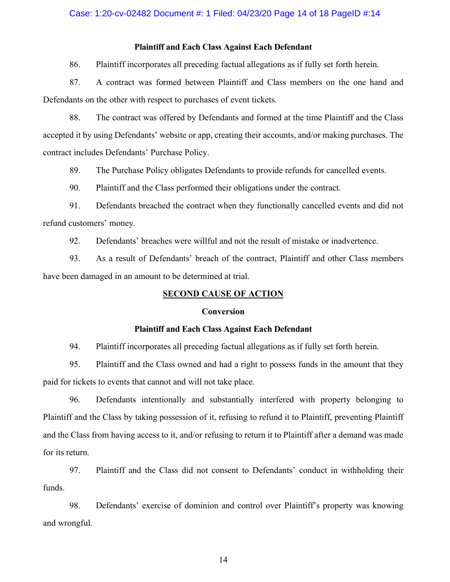### Case: 1:20-cv-02482 Document #: 1 Filed: 04/23/20 Page 14 of 18 PageID #:14

## **Plaintiff and Each Class Against Each Defendant**

86. Plaintiff incorporates all preceding factual allegations as if fully set forth herein.

87. A contract was formed between Plaintiff and Class members on the one hand and Defendants on the other with respect to purchases of event tickets.

88. The contract was offered by Defendants and formed at the time Plaintiff and the Class accepted it by using Defendants' website or app, creating their accounts, and/or making purchases. The contract includes Defendants' Purchase Policy.

89. The Purchase Policy obligates Defendants to provide refunds for cancelled events.

90. Plaintiff and the Class performed their obligations under the contract.

91. Defendants breached the contract when they functionally cancelled events and did not refund customers' money.

92. Defendants' breaches were willful and not the result of mistake or inadvertence.

93. As a result of Defendants' breach of the contract, Plaintiff and other Class members have been damaged in an amount to be determined at trial.

## **SECOND CAUSE OF ACTION**

## **Conversion**

#### **Plaintiff and Each Class Against Each Defendant**

94. Plaintiff incorporates all preceding factual allegations as if fully set forth herein.

95. Plaintiff and the Class owned and had a right to possess funds in the amount that they paid for tickets to events that cannot and will not take place.

96. Defendants intentionally and substantially interfered with property belonging to Plaintiff and the Class by taking possession of it, refusing to refund it to Plaintiff, preventing Plaintiff and the Class from having access to it, and/or refusing to return it to Plaintiff after a demand was made for its return.

97. Plaintiff and the Class did not consent to Defendants' conduct in withholding their funds.

98. Defendants' exercise of dominion and control over Plaintiff's property was knowing and wrongful.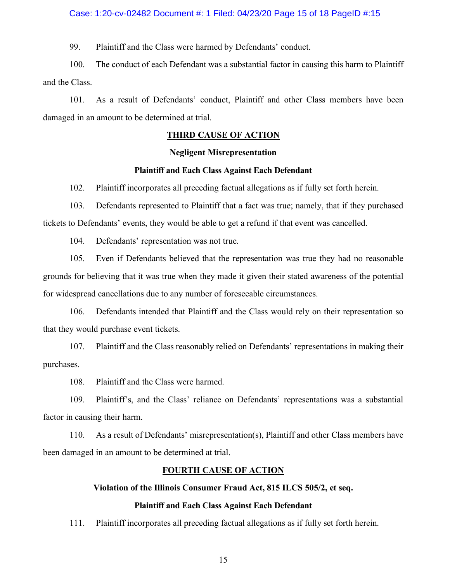#### Case: 1:20-cv-02482 Document #: 1 Filed: 04/23/20 Page 15 of 18 PageID #:15

99. Plaintiff and the Class were harmed by Defendants' conduct.

100. The conduct of each Defendant was a substantial factor in causing this harm to Plaintiff and the Class.

101. As a result of Defendants' conduct, Plaintiff and other Class members have been damaged in an amount to be determined at trial.

# **THIRD CAUSE OF ACTION**

#### **Negligent Misrepresentation**

#### **Plaintiff and Each Class Against Each Defendant**

102. Plaintiff incorporates all preceding factual allegations as if fully set forth herein.

103. Defendants represented to Plaintiff that a fact was true; namely, that if they purchased tickets to Defendants' events, they would be able to get a refund if that event was cancelled.

104. Defendants' representation was not true.

105. Even if Defendants believed that the representation was true they had no reasonable grounds for believing that it was true when they made it given their stated awareness of the potential for widespread cancellations due to any number of foreseeable circumstances.

106. Defendants intended that Plaintiff and the Class would rely on their representation so that they would purchase event tickets.

107. Plaintiff and the Class reasonably relied on Defendants' representations in making their purchases.

108. Plaintiff and the Class were harmed.

109. Plaintiff's, and the Class' reliance on Defendants' representations was a substantial factor in causing their harm.

110. As a result of Defendants' misrepresentation(s), Plaintiff and other Class members have been damaged in an amount to be determined at trial.

### **FOURTH CAUSE OF ACTION**

### **Violation of the Illinois Consumer Fraud Act, 815 ILCS 505/2, et seq.**

## **Plaintiff and Each Class Against Each Defendant**

111. Plaintiff incorporates all preceding factual allegations as if fully set forth herein.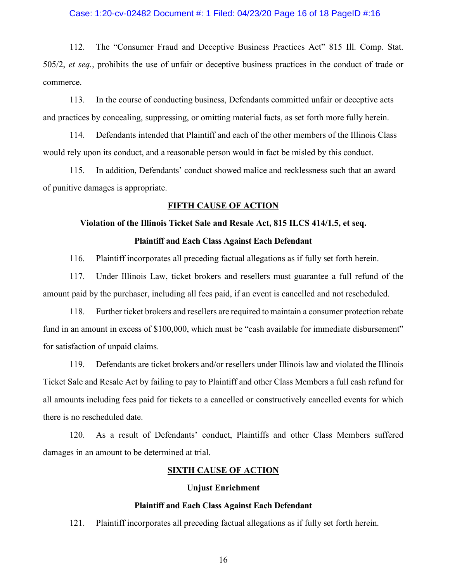#### Case: 1:20-cv-02482 Document #: 1 Filed: 04/23/20 Page 16 of 18 PageID #:16

112. The "Consumer Fraud and Deceptive Business Practices Act" 815 Ill. Comp. Stat. 505/2, *et seq.*, prohibits the use of unfair or deceptive business practices in the conduct of trade or commerce.

113. In the course of conducting business, Defendants committed unfair or deceptive acts and practices by concealing, suppressing, or omitting material facts, as set forth more fully herein.

114. Defendants intended that Plaintiff and each of the other members of the Illinois Class would rely upon its conduct, and a reasonable person would in fact be misled by this conduct.

115. In addition, Defendants' conduct showed malice and recklessness such that an award of punitive damages is appropriate.

# **FIFTH CAUSE OF ACTION**

### **Violation of the Illinois Ticket Sale and Resale Act, 815 ILCS 414/1.5, et seq.**

## **Plaintiff and Each Class Against Each Defendant**

116. Plaintiff incorporates all preceding factual allegations as if fully set forth herein.

117. Under Illinois Law, ticket brokers and resellers must guarantee a full refund of the amount paid by the purchaser, including all fees paid, if an event is cancelled and not rescheduled.

118. Further ticket brokers and resellers are required to maintain a consumer protection rebate fund in an amount in excess of \$100,000, which must be "cash available for immediate disbursement" for satisfaction of unpaid claims.

119. Defendants are ticket brokers and/or resellers under Illinois law and violated the Illinois Ticket Sale and Resale Act by failing to pay to Plaintiff and other Class Members a full cash refund for all amounts including fees paid for tickets to a cancelled or constructively cancelled events for which there is no rescheduled date.

120. As a result of Defendants' conduct, Plaintiffs and other Class Members suffered damages in an amount to be determined at trial.

### **SIXTH CAUSE OF ACTION**

#### **Unjust Enrichment**

## **Plaintiff and Each Class Against Each Defendant**

121. Plaintiff incorporates all preceding factual allegations as if fully set forth herein.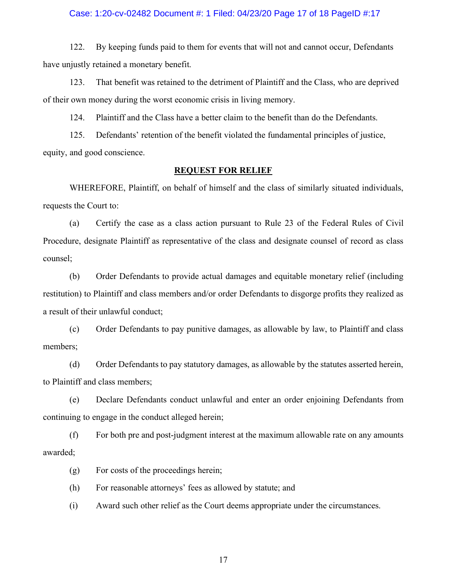#### Case: 1:20-cv-02482 Document #: 1 Filed: 04/23/20 Page 17 of 18 PageID #:17

122. By keeping funds paid to them for events that will not and cannot occur, Defendants have unjustly retained a monetary benefit.

123. That benefit was retained to the detriment of Plaintiff and the Class, who are deprived of their own money during the worst economic crisis in living memory.

124. Plaintiff and the Class have a better claim to the benefit than do the Defendants.

125. Defendants' retention of the benefit violated the fundamental principles of justice, equity, and good conscience.

## **REQUEST FOR RELIEF**

WHEREFORE, Plaintiff, on behalf of himself and the class of similarly situated individuals, requests the Court to:

(a) Certify the case as a class action pursuant to Rule 23 of the Federal Rules of Civil Procedure, designate Plaintiff as representative of the class and designate counsel of record as class counsel;

(b) Order Defendants to provide actual damages and equitable monetary relief (including restitution) to Plaintiff and class members and/or order Defendants to disgorge profits they realized as a result of their unlawful conduct;

(c) Order Defendants to pay punitive damages, as allowable by law, to Plaintiff and class members;

(d) Order Defendants to pay statutory damages, as allowable by the statutes asserted herein, to Plaintiff and class members;

(e) Declare Defendants conduct unlawful and enter an order enjoining Defendants from continuing to engage in the conduct alleged herein;

(f) For both pre and post-judgment interest at the maximum allowable rate on any amounts awarded;

(g) For costs of the proceedings herein;

(h) For reasonable attorneys' fees as allowed by statute; and

(i) Award such other relief as the Court deems appropriate under the circumstances.